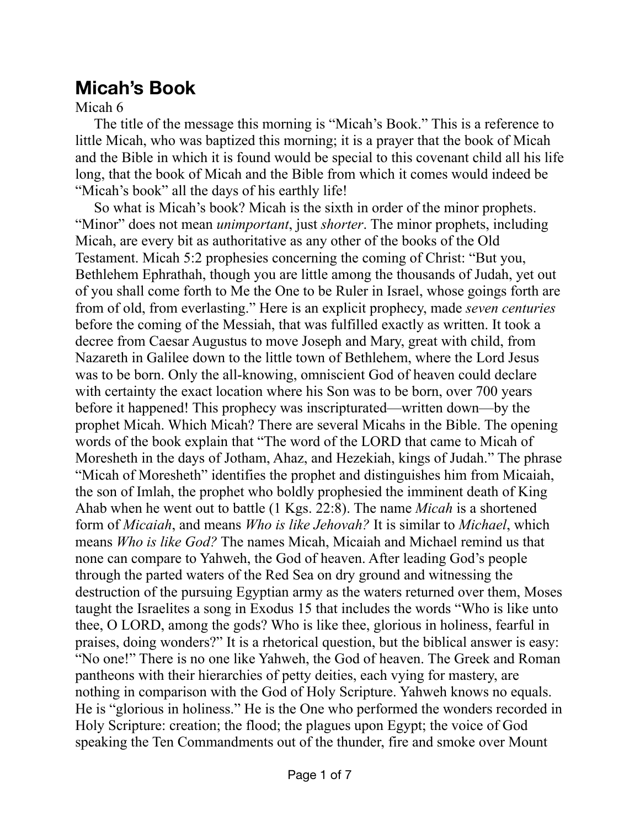## **Micah's Book**

## Micah 6

The title of the message this morning is "Micah's Book." This is a reference to little Micah, who was baptized this morning; it is a prayer that the book of Micah and the Bible in which it is found would be special to this covenant child all his life long, that the book of Micah and the Bible from which it comes would indeed be "Micah's book" all the days of his earthly life!

So what is Micah's book? Micah is the sixth in order of the minor prophets. "Minor" does not mean *unimportant*, just *shorter*. The minor prophets, including Micah, are every bit as authoritative as any other of the books of the Old Testament. Micah 5:2 prophesies concerning the coming of Christ: "But you, Bethlehem Ephrathah, though you are little among the thousands of Judah, yet out of you shall come forth to Me the One to be Ruler in Israel, whose goings forth are from of old, from everlasting." Here is an explicit prophecy, made *seven centuries* before the coming of the Messiah, that was fulfilled exactly as written. It took a decree from Caesar Augustus to move Joseph and Mary, great with child, from Nazareth in Galilee down to the little town of Bethlehem, where the Lord Jesus was to be born. Only the all-knowing, omniscient God of heaven could declare with certainty the exact location where his Son was to be born, over 700 years before it happened! This prophecy was inscripturated—written down—by the prophet Micah. Which Micah? There are several Micahs in the Bible. The opening words of the book explain that "The word of the LORD that came to Micah of Moresheth in the days of Jotham, Ahaz, and Hezekiah, kings of Judah." The phrase "Micah of Moresheth" identifies the prophet and distinguishes him from Micaiah, the son of Imlah, the prophet who boldly prophesied the imminent death of King Ahab when he went out to battle (1 Kgs. 22:8). The name *Micah* is a shortened form of *Micaiah*, and means *Who is like Jehovah?* It is similar to *Michael*, which means *Who is like God?* The names Micah, Micaiah and Michael remind us that none can compare to Yahweh, the God of heaven. After leading God's people through the parted waters of the Red Sea on dry ground and witnessing the destruction of the pursuing Egyptian army as the waters returned over them, Moses taught the Israelites a song in Exodus 15 that includes the words "Who is like unto thee, O LORD, among the gods? Who is like thee, glorious in holiness, fearful in praises, doing wonders?" It is a rhetorical question, but the biblical answer is easy: "No one!" There is no one like Yahweh, the God of heaven. The Greek and Roman pantheons with their hierarchies of petty deities, each vying for mastery, are nothing in comparison with the God of Holy Scripture. Yahweh knows no equals. He is "glorious in holiness." He is the One who performed the wonders recorded in Holy Scripture: creation; the flood; the plagues upon Egypt; the voice of God speaking the Ten Commandments out of the thunder, fire and smoke over Mount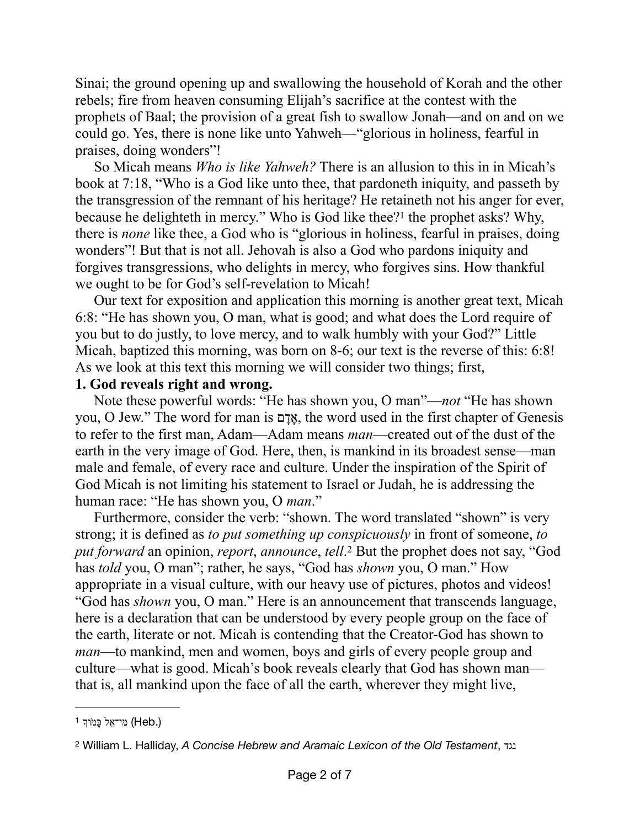Sinai; the ground opening up and swallowing the household of Korah and the other rebels; fire from heaven consuming Elijah's sacrifice at the contest with the prophets of Baal; the provision of a great fish to swallow Jonah—and on and on we could go. Yes, there is none like unto Yahweh—"glorious in holiness, fearful in praises, doing wonders"!

<span id="page-1-2"></span>So Micah means *Who is like Yahweh?* There is an allusion to this in in Micah's book at 7:18, "Who is a God like unto thee, that pardoneth iniquity, and passeth by the transgression of the remnant of his heritage? He retaineth not his anger for ever, because he delighteth in mercy." Who is God like thee? $1$  the prophet asks? Why, there is *none* like thee, a God who is "glorious in holiness, fearful in praises, doing wonders"! But that is not all. Jehovah is also a God who pardons iniquity and forgives transgressions, who delights in mercy, who forgives sins. How thankful we ought to be for God's self-revelation to Micah!

Our text for exposition and application this morning is another great text, Micah 6:8: "He has shown you, O man, what is good; and what does the Lord require of you but to do justly, to love mercy, and to walk humbly with your God?" Little Micah, baptized this morning, was born on 8-6; our text is the reverse of this: 6:8! As we look at this text this morning we will consider two things; first,

## **1. God reveals right and wrong.**

Note these powerful words: "He has shown you, O man"—*not* "He has shown you, O Jew." The word for man is אֲדָם, the word used in the first chapter of Genesis to refer to the first man, Adam—Adam means *man*—created out of the dust of the earth in the very image of God. Here, then, is mankind in its broadest sense—man male and female, of every race and culture. Under the inspiration of the Spirit of God Micah is not limiting his statement to Israel or Judah, he is addressing the human race: "He has shown you, O *man*."

<span id="page-1-3"></span>Furthermore, consider the verb: "shown. The word translated "shown" is very strong; it is defined as *to put something up conspicuously* in front of someone, *to put forward* an opinion, *report*, *announce*, *tell*.<sup>[2](#page-1-1)</sup> But the prophet does not say, "God has *told* you, O man"; rather, he says, "God has *shown* you, O man." How appropriate in a visual culture, with our heavy use of pictures, photos and videos! "God has *shown* you, O man." Here is an announcement that transcends language, here is a declaration that can be understood by every people group on the face of the earth, literate or not. Micah is contending that the Creator-God has shown to *man*—to mankind, men and women, boys and girls of every people group and culture—what is good. Micah's book reveals clearly that God has shown man that is, all mankind upon the face of all the earth, wherever they might live,

<span id="page-1-0"></span>ל כָּמוֹדְ <sup>[1](#page-1-2)</sup> (Heb.)

<span id="page-1-1"></span>William L. Halliday, *A Concise Hebrew and Aramaic Lexicon of the Old Testament*, נגד [2](#page-1-3)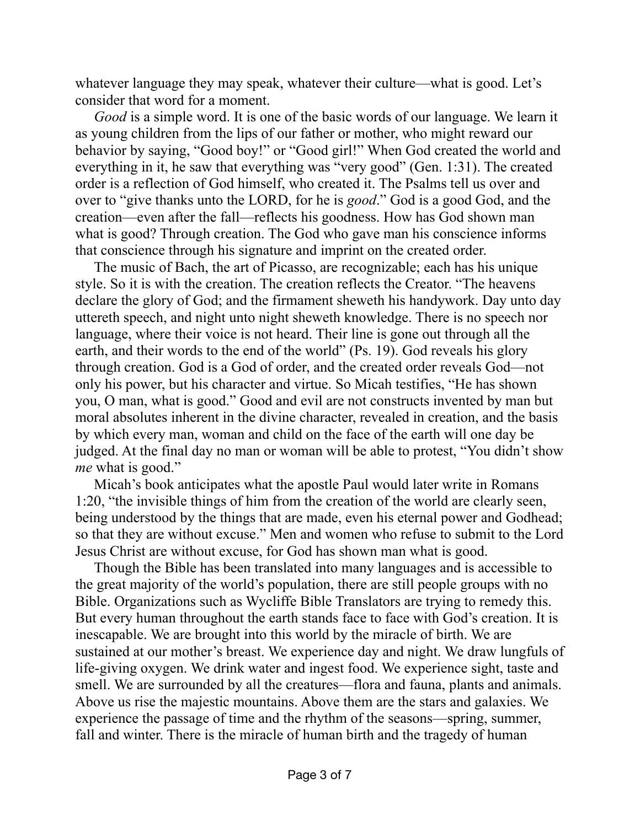whatever language they may speak, whatever their culture—what is good. Let's consider that word for a moment.

*Good* is a simple word. It is one of the basic words of our language. We learn it as young children from the lips of our father or mother, who might reward our behavior by saying, "Good boy!" or "Good girl!" When God created the world and everything in it, he saw that everything was "very good" (Gen. 1:31). The created order is a reflection of God himself, who created it. The Psalms tell us over and over to "give thanks unto the LORD, for he is *good*." God is a good God, and the creation—even after the fall—reflects his goodness. How has God shown man what is good? Through creation. The God who gave man his conscience informs that conscience through his signature and imprint on the created order.

The music of Bach, the art of Picasso, are recognizable; each has his unique style. So it is with the creation. The creation reflects the Creator. "The heavens declare the glory of God; and the firmament sheweth his handywork. Day unto day uttereth speech, and night unto night sheweth knowledge. There is no speech nor language, where their voice is not heard. Their line is gone out through all the earth, and their words to the end of the world" (Ps. 19). God reveals his glory through creation. God is a God of order, and the created order reveals God—not only his power, but his character and virtue. So Micah testifies, "He has shown you, O man, what is good." Good and evil are not constructs invented by man but moral absolutes inherent in the divine character, revealed in creation, and the basis by which every man, woman and child on the face of the earth will one day be judged. At the final day no man or woman will be able to protest, "You didn't show *me* what is good."

Micah's book anticipates what the apostle Paul would later write in Romans 1:20, "the invisible things of him from the creation of the world are clearly seen, being understood by the things that are made, even his eternal power and Godhead; so that they are without excuse." Men and women who refuse to submit to the Lord Jesus Christ are without excuse, for God has shown man what is good.

Though the Bible has been translated into many languages and is accessible to the great majority of the world's population, there are still people groups with no Bible. Organizations such as Wycliffe Bible Translators are trying to remedy this. But every human throughout the earth stands face to face with God's creation. It is inescapable. We are brought into this world by the miracle of birth. We are sustained at our mother's breast. We experience day and night. We draw lungfuls of life-giving oxygen. We drink water and ingest food. We experience sight, taste and smell. We are surrounded by all the creatures—flora and fauna, plants and animals. Above us rise the majestic mountains. Above them are the stars and galaxies. We experience the passage of time and the rhythm of the seasons—spring, summer, fall and winter. There is the miracle of human birth and the tragedy of human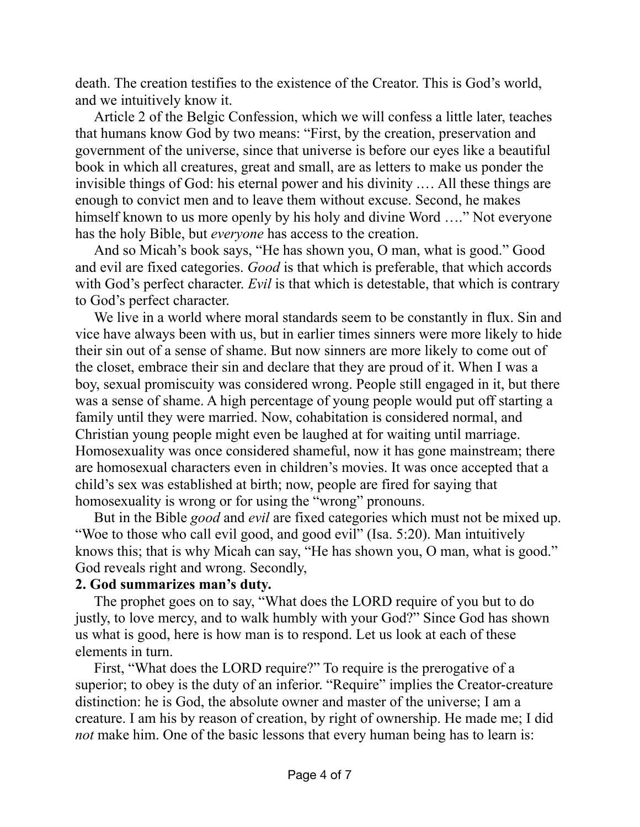death. The creation testifies to the existence of the Creator. This is God's world, and we intuitively know it.

Article 2 of the Belgic Confession, which we will confess a little later, teaches that humans know God by two means: "First, by the creation, preservation and government of the universe, since that universe is before our eyes like a beautiful book in which all creatures, great and small, are as letters to make us ponder the invisible things of God: his eternal power and his divinity .… All these things are enough to convict men and to leave them without excuse. Second, he makes himself known to us more openly by his holy and divine Word ...." Not everyone has the holy Bible, but *everyone* has access to the creation.

And so Micah's book says, "He has shown you, O man, what is good." Good and evil are fixed categories. *Good* is that which is preferable, that which accords with God's perfect character. *Evil* is that which is detestable, that which is contrary to God's perfect character.

We live in a world where moral standards seem to be constantly in flux. Sin and vice have always been with us, but in earlier times sinners were more likely to hide their sin out of a sense of shame. But now sinners are more likely to come out of the closet, embrace their sin and declare that they are proud of it. When I was a boy, sexual promiscuity was considered wrong. People still engaged in it, but there was a sense of shame. A high percentage of young people would put off starting a family until they were married. Now, cohabitation is considered normal, and Christian young people might even be laughed at for waiting until marriage. Homosexuality was once considered shameful, now it has gone mainstream; there are homosexual characters even in children's movies. It was once accepted that a child's sex was established at birth; now, people are fired for saying that homosexuality is wrong or for using the "wrong" pronouns.

But in the Bible *good* and *evil* are fixed categories which must not be mixed up. "Woe to those who call evil good, and good evil" (Isa. 5:20). Man intuitively knows this; that is why Micah can say, "He has shown you, O man, what is good." God reveals right and wrong. Secondly,

## **2. God summarizes man's duty.**

The prophet goes on to say, "What does the LORD require of you but to do justly, to love mercy, and to walk humbly with your God?" Since God has shown us what is good, here is how man is to respond. Let us look at each of these elements in turn.

First, "What does the LORD require?" To require is the prerogative of a superior; to obey is the duty of an inferior. "Require" implies the Creator-creature distinction: he is God, the absolute owner and master of the universe; I am a creature. I am his by reason of creation, by right of ownership. He made me; I did *not* make him. One of the basic lessons that every human being has to learn is: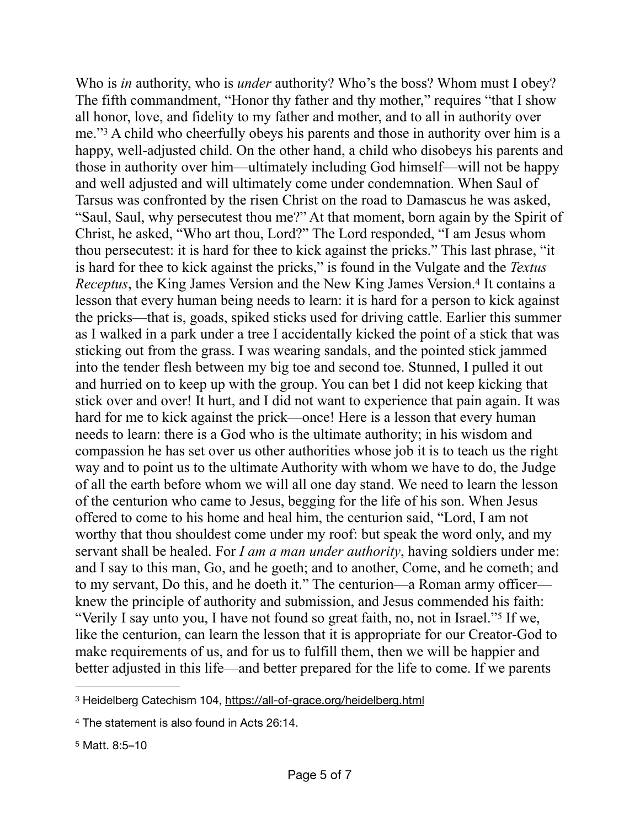<span id="page-4-4"></span><span id="page-4-3"></span>Who is *in* authority, who is *under* authority? Who's the boss? Whom must I obey? The fifth commandment, "Honor thy father and thy mother," requires "that I show all honor, love, and fidelity to my father and mother, and to all in authority over me."<sup>[3](#page-4-0)</sup> A child who cheerfully obeys his parents and those in authority over him is a happy, well-adjusted child. On the other hand, a child who disobeys his parents and those in authority over him—ultimately including God himself—will not be happy and well adjusted and will ultimately come under condemnation. When Saul of Tarsus was confronted by the risen Christ on the road to Damascus he was asked, "Saul, Saul, why persecutest thou me?" At that moment, born again by the Spirit of Christ, he asked, "Who art thou, Lord?" The Lord responded, "I am Jesus whom thou persecutest: it is hard for thee to kick against the pricks." This last phrase, "it is hard for thee to kick against the pricks," is found in the Vulgate and the *Textus Receptus*,the King James Version and the New King James Version.<sup>[4](#page-4-1)</sup> It contains a lesson that every human being needs to learn: it is hard for a person to kick against the pricks—that is, goads, spiked sticks used for driving cattle. Earlier this summer as I walked in a park under a tree I accidentally kicked the point of a stick that was sticking out from the grass. I was wearing sandals, and the pointed stick jammed into the tender flesh between my big toe and second toe. Stunned, I pulled it out and hurried on to keep up with the group. You can bet I did not keep kicking that stick over and over! It hurt, and I did not want to experience that pain again. It was hard for me to kick against the prick—once! Here is a lesson that every human needs to learn: there is a God who is the ultimate authority; in his wisdom and compassion he has set over us other authorities whose job it is to teach us the right way and to point us to the ultimate Authority with whom we have to do, the Judge of all the earth before whom we will all one day stand. We need to learn the lesson of the centurion who came to Jesus, begging for the life of his son. When Jesus offered to come to his home and heal him, the centurion said, "Lord, I am not worthy that thou shouldest come under my roof: but speak the word only, and my servant shall be healed. For *I am a man under authority*, having soldiers under me: and I say to this man, Go, and he goeth; and to another, Come, and he cometh; and to my servant, Do this, and he doeth it." The centurion—a Roman army officer knew the principle of authority and submission, and Jesus commended his faith: "VerilyI say unto you, I have not found so great faith, no, not in Israel."<sup>[5](#page-4-2)</sup> If we, like the centurion, can learn the lesson that it is appropriate for our Creator-God to make requirements of us, and for us to fulfill them, then we will be happier and better adjusted in this life—and better prepared for the life to come. If we parents

<span id="page-4-5"></span><span id="page-4-0"></span><sup>3</sup> Heidelberg Catechism 104, <https://all-of-grace.org/heidelberg.html>

<span id="page-4-2"></span><span id="page-4-1"></span><sup>&</sup>lt;sup>[4](#page-4-4)</sup> The statement is also found in Acts 26:14.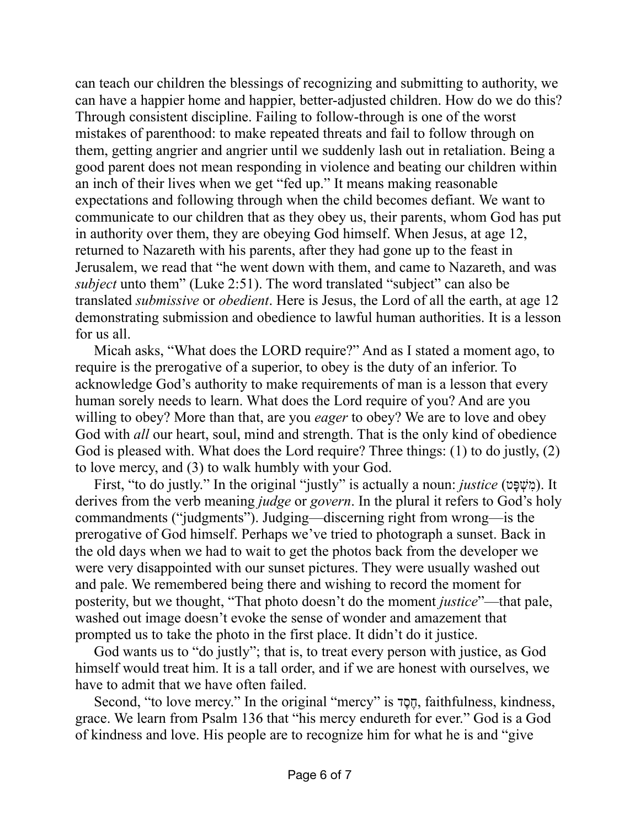can teach our children the blessings of recognizing and submitting to authority, we can have a happier home and happier, better-adjusted children. How do we do this? Through consistent discipline. Failing to follow-through is one of the worst mistakes of parenthood: to make repeated threats and fail to follow through on them, getting angrier and angrier until we suddenly lash out in retaliation. Being a good parent does not mean responding in violence and beating our children within an inch of their lives when we get "fed up." It means making reasonable expectations and following through when the child becomes defiant. We want to communicate to our children that as they obey us, their parents, whom God has put in authority over them, they are obeying God himself. When Jesus, at age 12, returned to Nazareth with his parents, after they had gone up to the feast in Jerusalem, we read that "he went down with them, and came to Nazareth, and was *subject* unto them" (Luke 2:51). The word translated "subject" can also be translated *submissive* or *obedient*. Here is Jesus, the Lord of all the earth, at age 12 demonstrating submission and obedience to lawful human authorities. It is a lesson for us all.

Micah asks, "What does the LORD require?" And as I stated a moment ago, to require is the prerogative of a superior, to obey is the duty of an inferior. To acknowledge God's authority to make requirements of man is a lesson that every human sorely needs to learn. What does the Lord require of you? And are you willing to obey? More than that, are you *eager* to obey? We are to love and obey God with *all* our heart, soul, mind and strength. That is the only kind of obedience God is pleased with. What does the Lord require? Three things: (1) to do justly, (2) to love mercy, and (3) to walk humbly with your God.

First, "to do justly." In the original "justly" is actually a noun: *justice* (טָפְּשִׁמ(. It derives from the verb meaning *judge* or *govern*. In the plural it refers to God's holy commandments ("judgments"). Judging—discerning right from wrong—is the prerogative of God himself. Perhaps we've tried to photograph a sunset. Back in the old days when we had to wait to get the photos back from the developer we were very disappointed with our sunset pictures. They were usually washed out and pale. We remembered being there and wishing to record the moment for posterity, but we thought, "That photo doesn't do the moment *justice*"—that pale, washed out image doesn't evoke the sense of wonder and amazement that prompted us to take the photo in the first place. It didn't do it justice.

God wants us to "do justly"; that is, to treat every person with justice, as God himself would treat him. It is a tall order, and if we are honest with ourselves, we have to admit that we have often failed.

Second, "to love mercy." In the original "mercy" is דֶסֶח, faithfulness, kindness, grace. We learn from Psalm 136 that "his mercy endureth for ever." God is a God of kindness and love. His people are to recognize him for what he is and "give